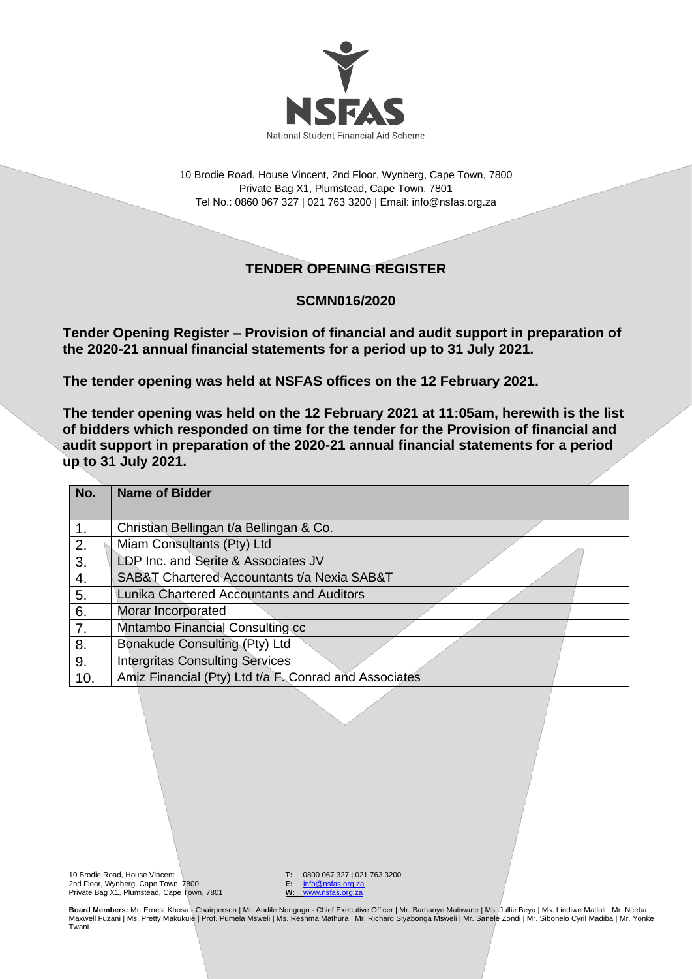

10 Brodie Road, House Vincent, 2nd Floor, Wynberg, Cape Town, 7800 Private Bag X1, Plumstead, Cape Town, 7801 Tel No.: 0860 067 327 | 021 763 3200 | Email[: info@nsfas.org.za](mailto:info@nsfas.org.za)

## **TENDER OPENING REGISTER**

## **SCMN016/2020**

**Tender Opening Register – Provision of financial and audit support in preparation of the 2020-21 annual financial statements for a period up to 31 July 2021.**

**The tender opening was held at NSFAS offices on the 12 February 2021.**

**The tender opening was held on the 12 February 2021 at 11:05am, herewith is the list of bidders which responded on time for the tender for the Provision of financial and audit support in preparation of the 2020-21 annual financial statements for a period up to 31 July 2021.**

| No. | <b>Name of Bidder</b>                                 |
|-----|-------------------------------------------------------|
| 1.  | Christian Bellingan t/a Bellingan & Co.               |
| 2.  | Miam Consultants (Pty) Ltd                            |
| 3.  | LDP Inc. and Serite & Associates JV                   |
| 4.  | SAB&T Chartered Accountants t/a Nexia SAB&T           |
| 5.  | Lunika Chartered Accountants and Auditors             |
| 6.  | Morar Incorporated                                    |
| 7.  | Mntambo Financial Consulting cc                       |
| 8.  | Bonakude Consulting (Pty) Ltd                         |
| 9.  | <b>Intergritas Consulting Services</b>                |
| 10. | Amiz Financial (Pty) Ltd t/a F. Conrad and Associates |

10 Brodie Road, House Vincent 2nd Floor, Wynberg, Cape Town, 7800 Private Bag X1, Plumstead, Cape Town, 7801 **T:** 0800 067 327 | 021 763 3200<br>**E:** info@nsfas.org.za **E:** [info@nsfas.org.za](mailto:info@nsfas.org.za) **W:** [www.nsfas.org.za](http://www.nsfas.org.za/)

**Board Members:** Mr. Ernest Khosa - Chairperson | Mr. Andile Nongogo - Chief Executive Officer | Mr. Bamanye Matiwane | Ms. Jullie Beya | Ms. Lindiwe Matlali | Mr. Nceba Maxwell Fuzani | Ms. Pretty Makukule | Prof. Pumela Msweli | Ms. Reshma Mathura | Mr. Richard Siyabonga Msweli | Mr. Sanele Zondi | Mr. Sibonelo Cyril Madiba | Mr. Yonke Twani